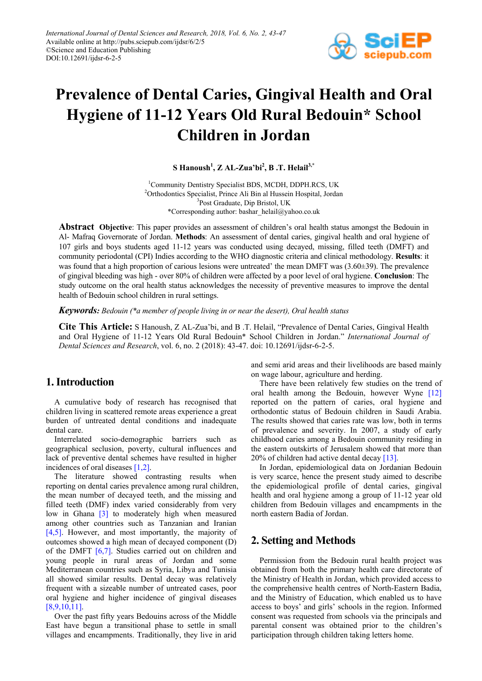

# **Prevalence of Dental Caries, Gingival Health and Oral Hygiene of 11-12 Years Old Rural Bedouin\* School Children in Jordan**

**S Hanoush<sup>1</sup> , Z AL-Zua'bi2 , B .T. Helail3,\***

<sup>1</sup>Community Dentistry Specialist BDS, MCDH, DDPH.RCS, UK 2 Orthodontics Specialist, Prince Ali Bin al Hussein Hospital, Jordan 3 Post Graduate, Dip Bristol, UK \*Corresponding author: bashar\_helail@yahoo.co.uk

**Abstract Objective**: This paper provides an assessment of children's oral health status amongst the Bedouin in Al- Mafraq Governorate of Jordan. **Methods**: An assessment of dental caries, gingival health and oral hygiene of 107 girls and boys students aged 11-12 years was conducted using decayed, missing, filled teeth (DMFT) and community periodontal (CPI) Indies according to the WHO diagnostic criteria and clinical methodology. **Results**: it was found that a high proportion of carious lesions were untreated' the mean DMFT was (3.60 $\pm$ 39). The prevalence of gingival bleeding was high - over 80% of children were affected by a poor level of oral hygiene. **Conclusion**: The study outcome on the oral health status acknowledges the necessity of preventive measures to improve the dental health of Bedouin school children in rural settings.

*Keywords: Bedouin (\*a member of people living in or near the desert), Oral health status*

**Cite This Article:** S Hanoush, Z AL-Zua'bi, and B .T. Helail, "Prevalence of Dental Caries, Gingival Health and Oral Hygiene of 11-12 Years Old Rural Bedouin\* School Children in Jordan." *International Journal of Dental Sciences and Research*, vol. 6, no. 2 (2018): 43-47. doi: 10.12691/ijdsr-6-2-5.

# **1. Introduction**

A cumulative body of research has recognised that children living in scattered remote areas experience a great burden of untreated dental conditions and inadequate dental care.

Interrelated socio-demographic barriers such as geographical seclusion, poverty, cultural influences and lack of preventive dental schemes have resulted in higher incidences of oral diseases [\[1,2\].](#page-4-0)

The literature showed contrasting results when reporting on dental caries prevalence among rural children, the mean number of decayed teeth, and the missing and filled teeth (DMF) index varied considerably from very low in Ghana [\[3\]](#page-4-1) to moderately high when measured among other countries such as Tanzanian and Iranian [\[4,5\].](#page-4-2) However, and most importantly, the majority of outcomes showed a high mean of decayed component (D) of the DMFT [\[6,7\].](#page-4-3) Studies carried out on children and young people in rural areas of Jordan and some Mediterranean countries such as Syria, Libya and Tunisia all showed similar results. Dental decay was relatively frequent with a sizeable number of untreated cases, poor oral hygiene and higher incidence of gingival diseases [\[8,9,10,11\].](#page-4-4)

Over the past fifty years Bedouins across of the Middle East have begun a transitional phase to settle in small villages and encampments. Traditionally, they live in arid and semi arid areas and their livelihoods are based mainly on wage labour, agriculture and herding.

There have been relatively few studies on the trend of oral health among the Bedouin, however Wyne [\[12\]](#page-4-5) reported on the pattern of caries, oral hygiene and orthodontic status of Bedouin children in Saudi Arabia. The results showed that caries rate was low, both in terms of prevalence and severity. In 2007, a study of early childhood caries among a Bedouin community residing in the eastern outskirts of Jerusalem showed that more than 20% of children had active dental decay [\[13\].](#page-4-6)

In Jordan, epidemiological data on Jordanian Bedouin is very scarce, hence the present study aimed to describe the epidemiological profile of dental caries, gingival health and oral hygiene among a group of 11-12 year old children from Bedouin villages and encampments in the north eastern Badia of Jordan.

# **2. Setting and Methods**

Permission from the Bedouin rural health project was obtained from both the primary health care directorate of the Ministry of Health in Jordan, which provided access to the comprehensive health centres of North-Eastern Badia, and the Ministry of Education, which enabled us to have access to boys' and girls' schools in the region. Informed consent was requested from schools via the principals and parental consent was obtained prior to the children's participation through children taking letters home.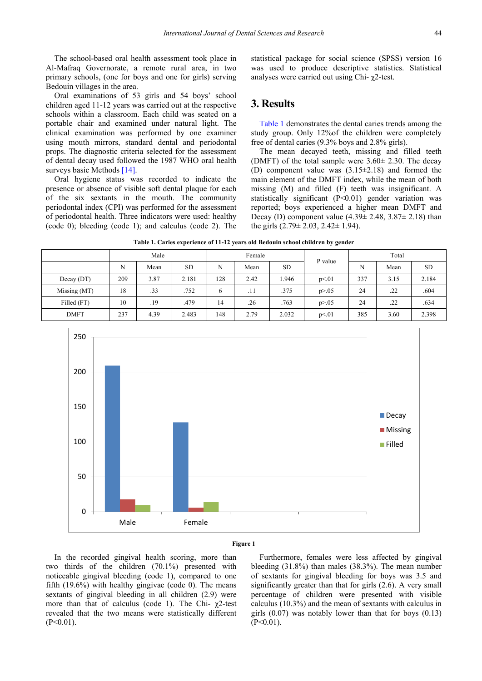The school-based oral health assessment took place in Al-Mafraq Governorate, a remote rural area, in two primary schools, (one for boys and one for girls) serving Bedouin villages in the area.

Oral examinations of 53 girls and 54 boys' school children aged 11-12 years was carried out at the respective schools within a classroom. Each child was seated on a portable chair and examined under natural light. The clinical examination was performed by one examiner using mouth mirrors, standard dental and periodontal props. The diagnostic criteria selected for the assessment of dental decay used followed the 1987 WHO oral health surveys basic Methods [\[14\].](#page-4-7)

Oral hygiene status was recorded to indicate the presence or absence of visible soft dental plaque for each of the six sextants in the mouth. The community periodontal index (CPI) was performed for the assessment of periodontal health. Three indicators were used: healthy (code 0); bleeding (code 1); and calculus (code 2). The statistical package for social science (SPSS) version 16 was used to produce descriptive statistics. Statistical analyses were carried out using Chi- χ2-test.

# **3. Results**

[Table 1](#page-1-0) demonstrates the dental caries trends among the study group. Only 12%of the children were completely free of dental caries (9.3% boys and 2.8% girls).

The mean decayed teeth, missing and filled teeth (DMFT) of the total sample were  $3.60 \pm 2.30$ . The decay (D) component value was (3.15±2.18) and formed the main element of the DMFT index, while the mean of both missing (M) and filled (F) teeth was insignificant. A statistically significant (P<0.01) gender variation was reported; boys experienced a higher mean DMFT and Decay (D) component value  $(4.39 \pm 2.48, 3.87 \pm 2.18)$  than the girls (2.79± 2.03, 2.42± 1.94).

|  |  |  |  | Table 1. Caries experience of 11-12 years old Bedouin school children by gender |
|--|--|--|--|---------------------------------------------------------------------------------|
|--|--|--|--|---------------------------------------------------------------------------------|

<span id="page-1-0"></span>

|              | Male |      | Female    |     |      | P value | Total    |     |      |           |
|--------------|------|------|-----------|-----|------|---------|----------|-----|------|-----------|
|              | N    | Mean | <b>SD</b> | N   | Mean | SD.     |          | N   | Mean | <b>SD</b> |
| Decay(DT)    | 209  | 3.87 | 2.181     | 128 | 2.42 | 1.946   | p<01     | 337 | 3.15 | 2.184     |
| Missing (MT) | 18   | .33  | .752      | 6   | .11  | .375    | p > 0.05 | 24  | .22  | .604      |
| Filled (FT)  | 10   | .19  | .479      | 14  | .26  | .763    | p > 0.05 | 24  | .22  | .634      |
| <b>DMFT</b>  | 237  | 4.39 | 2.483     | 148 | 2.79 | 2.032   | p<01     | 385 | 3.60 | 2.398     |



#### **Figure 1**

In the recorded gingival health scoring, more than two thirds of the children (70.1%) presented with noticeable gingival bleeding (code 1), compared to one fifth (19.6%) with healthy gingivae (code 0). The means sextants of gingival bleeding in all children (2.9) were more than that of calculus (code 1). The Chi- χ2-test revealed that the two means were statistically different  $(P<0.01)$ .

Furthermore, females were less affected by gingival bleeding (31.8%) than males (38.3%). The mean number of sextants for gingival bleeding for boys was 3.5 and significantly greater than that for girls (2.6). A very small percentage of children were presented with visible calculus (10.3%) and the mean of sextants with calculus in girls  $(0.07)$  was notably lower than that for boys  $(0.13)$  $(P<0.01)$ .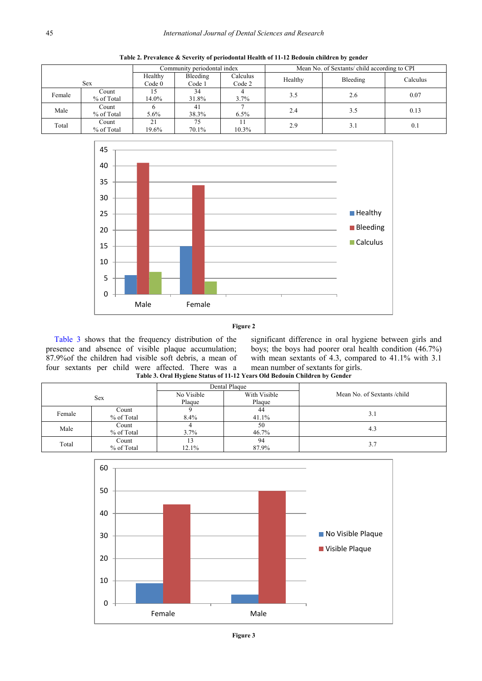|        |                     | Community periodontal index  |                    |                    | Mean No. of Sextants/child according to CPI |          |          |
|--------|---------------------|------------------------------|--------------------|--------------------|---------------------------------------------|----------|----------|
|        | <b>Sex</b>          | Healthy<br>Code <sub>0</sub> | Bleeding<br>Code 1 | Calculus<br>Code 2 | Healthy                                     | Bleeding | Calculus |
| Female | Count<br>% of Total | 15<br>14.0%                  | 34<br>31.8%        | 3.7%               | 3.5                                         | 2.6      | 0.07     |
| Male   | Count<br>% of Total | 5.6%                         | 41<br>38.3%        | 6.5%               | 2.4                                         | 3.5      | 0.13     |
| Total  | Count<br>% of Total | 21<br>19.6%                  | 75<br>70.1%        | $10.3\%$           | 2.9                                         | 3.1      | 0.1      |

**Table 2. Prevalence & Severity of periodontal Health of 11-12 Bedouin children by gender**



#### **Figure 2**

[Table 3](#page-2-0) shows that the frequency distribution of the presence and absence of visible plaque accumulation; 87.9%of the children had visible soft debris, a mean of four sextants per child were affected. There was a

significant difference in oral hygiene between girls and boys; the boys had poorer oral health condition (46.7%) with mean sextants of 4.3, compared to 41.1% with 3.1 mean number of sextants for girls.

**Table 3. Oral Hygiene Status of 11-12 Years Old Bedouin Children by Gender**

<span id="page-2-0"></span>

|            |            |                            | Dental Plaque |                              |
|------------|------------|----------------------------|---------------|------------------------------|
| <b>Sex</b> |            | With Visible<br>No Visible |               | Mean No. of Sextants / child |
|            |            | Plaque                     | Plaque        |                              |
| Female     | Count      |                            | 44            | 3.1                          |
|            | % of Total | 8.4%                       | 41.1%         |                              |
| Male       | Count      |                            | 50            | 4.3                          |
|            | % of Total | 3.7%                       | 46.7%         |                              |
| Total      | Count      |                            | 94            | 3.7                          |
|            | % of Total | 12.1%                      | 87.9%         |                              |



**Figure 3**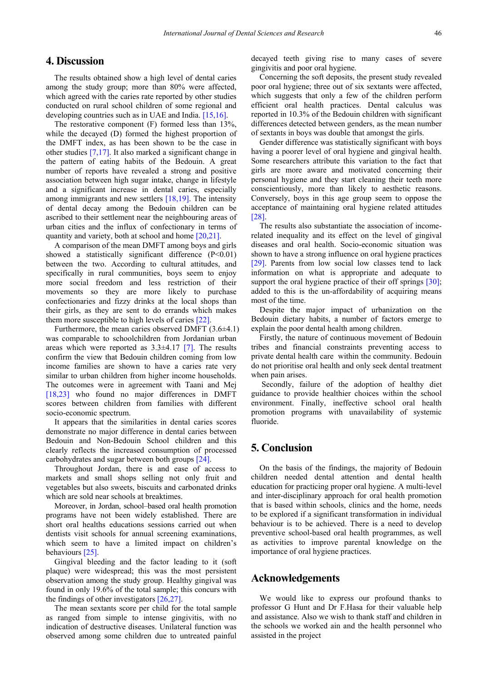### **4. Discussion**

The results obtained show a high level of dental caries among the study group; more than 80% were affected, which agreed with the caries rate reported by other studies conducted on rural school children of some regional and developing countries such as in UAE and India. [\[15,16\].](#page-4-8)

The restorative component (F) formed less than 13%, while the decayed (D) formed the highest proportion of the DMFT index, as has been shown to be the case in other studies [\[7,17\].](#page-4-9) It also marked a significant change in the pattern of eating habits of the Bedouin. A great number of reports have revealed a strong and positive association between high sugar intake, change in lifestyle and a significant increase in dental caries, especially among immigrants and new settlers [\[18,19\].](#page-4-10) The intensity of dental decay among the Bedouin children can be ascribed to their settlement near the neighbouring areas of urban cities and the influx of confectionary in terms of quantity and variety, both at school and home [\[20,21\].](#page-4-11)

A comparison of the mean DMFT among boys and girls showed a statistically significant difference  $(P<0.01)$ between the two. According to cultural attitudes, and specifically in rural communities, boys seem to enjoy more social freedom and less restriction of their movements so they are more likely to purchase confectionaries and fizzy drinks at the local shops than their girls, as they are sent to do errands which makes them more susceptible to high levels of caries [\[22\].](#page-4-12)

Furthermore, the mean caries observed DMFT  $(3.6\pm4.1)$ was comparable to schoolchildren from Jordanian urban areas which were reported as  $3.3\pm4.17$  [\[7\].](#page-4-9) The results confirm the view that Bedouin children coming from low income families are shown to have a caries rate very similar to urban children from higher income households. The outcomes were in agreement with Taani and Mej [\[18,23\]](#page-4-10) who found no major differences in DMFT scores between children from families with different socio-economic spectrum.

It appears that the similarities in dental caries scores demonstrate no major difference in dental caries between Bedouin and Non-Bedouin School children and this clearly reflects the increased consumption of processed carbohydrates and sugar between both groups [\[24\].](#page-4-13)

Throughout Jordan, there is and ease of access to markets and small shops selling not only fruit and vegetables but also sweets, biscuits and carbonated drinks which are sold near schools at breaktimes.

Moreover, in Jordan, school–based oral health promotion programs have not been widely established. There are short oral healths educations sessions carried out when dentists visit schools for annual screening examinations, which seem to have a limited impact on children's behaviours [\[25\].](#page-4-14)

Gingival bleeding and the factor leading to it (soft plaque) were widespread; this was the most persistent observation among the study group. Healthy gingival was found in only 19.6% of the total sample; this concurs with the findings of other investigators [\[26,27\].](#page-4-15)

The mean sextants score per child for the total sample as ranged from simple to intense gingivitis, with no indication of destructive diseases. Unilateral function was observed among some children due to untreated painful decayed teeth giving rise to many cases of severe gingivitis and poor oral hygiene.

Concerning the soft deposits, the present study revealed poor oral hygiene; three out of six sextants were affected, which suggests that only a few of the children perform efficient oral health practices. Dental calculus was reported in 10.3% of the Bedouin children with significant differences detected between genders, as the mean number of sextants in boys was double that amongst the girls.

Gender difference was statistically significant with boys having a poorer level of oral hygiene and gingival health. Some researchers attribute this variation to the fact that girls are more aware and motivated concerning their personal hygiene and they start cleaning their teeth more conscientiously, more than likely to aesthetic reasons. Conversely, boys in this age group seem to oppose the acceptance of maintaining oral hygiene related attitudes [\[28\].](#page-4-16)

The results also substantiate the association of incomerelated inequality and its effect on the level of gingival diseases and oral health. Socio-economic situation was shown to have a strong influence on oral hygiene practices [\[29\].](#page-4-17) Parents from low social low classes tend to lack information on what is appropriate and adequate to support the oral hygiene practice of their off springs [\[30\];](#page-4-18) added to this is the un-affordability of acquiring means most of the time.

Despite the major impact of urbanization on the Bedouin dietary habits, a number of factors emerge to explain the poor dental health among children.

Firstly, the nature of continuous movement of Bedouin tribes and financial constraints preventing access to private dental health care within the community. Bedouin do not prioritise oral health and only seek dental treatment when pain arises.

Secondly, failure of the adoption of healthy diet guidance to provide healthier choices within the school environment. Finally, ineffective school oral health promotion programs with unavailability of systemic fluoride.

## **5. Conclusion**

On the basis of the findings, the majority of Bedouin children needed dental attention and dental health education for practicing proper oral hygiene. A multi-level and inter-disciplinary approach for oral health promotion that is based within schools, clinics and the home, needs to be explored if a significant transformation in individual behaviour is to be achieved. There is a need to develop preventive school-based oral health programmes, as well as activities to improve parental knowledge on the importance of oral hygiene practices.

### **Acknowledgements**

We would like to express our profound thanks to professor G Hunt and Dr F.Hasa for their valuable help and assistance. Also we wish to thank staff and children in the schools we worked ain and the health personnel who assisted in the project